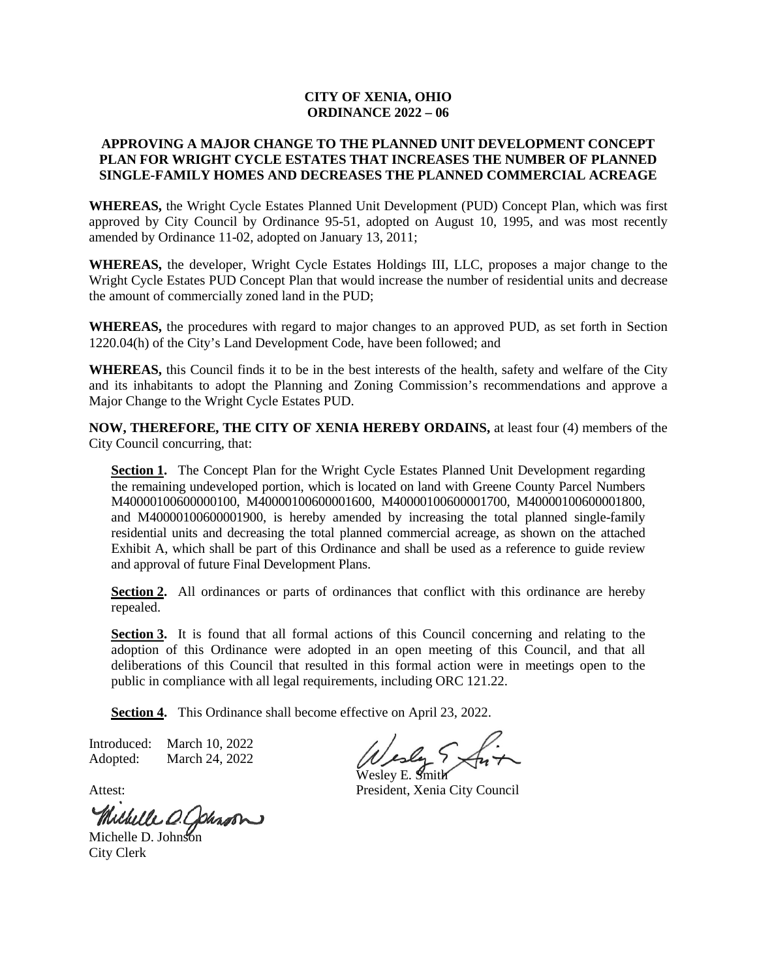## **CITY OF XENIA, OHIO ORDINANCE 2022 – 06**

## **APPROVING A MAJOR CHANGE TO THE PLANNED UNIT DEVELOPMENT CONCEPT PLAN FOR WRIGHT CYCLE ESTATES THAT INCREASES THE NUMBER OF PLANNED SINGLE-FAMILY HOMES AND DECREASES THE PLANNED COMMERCIAL ACREAGE**

**WHEREAS,** the Wright Cycle Estates Planned Unit Development (PUD) Concept Plan, which was first approved by City Council by Ordinance 95-51, adopted on August 10, 1995, and was most recently amended by Ordinance 11-02, adopted on January 13, 2011;

**WHEREAS,** the developer, Wright Cycle Estates Holdings III, LLC, proposes a major change to the Wright Cycle Estates PUD Concept Plan that would increase the number of residential units and decrease the amount of commercially zoned land in the PUD;

**WHEREAS,** the procedures with regard to major changes to an approved PUD, as set forth in Section 1220.04(h) of the City's Land Development Code, have been followed; and

**WHEREAS,** this Council finds it to be in the best interests of the health, safety and welfare of the City and its inhabitants to adopt the Planning and Zoning Commission's recommendations and approve a Major Change to the Wright Cycle Estates PUD.

**NOW, THEREFORE, THE CITY OF XENIA HEREBY ORDAINS,** at least four (4) members of the City Council concurring, that:

**Section 1.** The Concept Plan for the Wright Cycle Estates Planned Unit Development regarding the remaining undeveloped portion, which is located on land with Greene County Parcel Numbers M40000100600000100, M40000100600001600, M40000100600001700, M40000100600001800, and M40000100600001900, is hereby amended by increasing the total planned single-family residential units and decreasing the total planned commercial acreage, as shown on the attached Exhibit A, which shall be part of this Ordinance and shall be used as a reference to guide review and approval of future Final Development Plans.

Section 2. All ordinances or parts of ordinances that conflict with this ordinance are hereby repealed.

**Section 3.** It is found that all formal actions of this Council concerning and relating to the adoption of this Ordinance were adopted in an open meeting of this Council, and that all deliberations of this Council that resulted in this formal action were in meetings open to the public in compliance with all legal requirements, including ORC 121.22.

**Section 4.** This Ordinance shall become effective on April 23, 2022.

Introduced: March 10, 2022 Adopted: March 24, 2022

Wesley E. Smith

Attest: President, Xenia City Council

Michelle D. Johnson

City Clerk